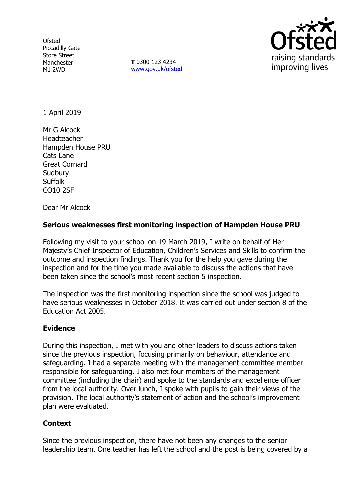**Ofsted** Piccadilly Gate Store Street Manchester M1 2WD

**T** 0300 123 4234 www.gov.uk/ofsted



1 April 2019

Mr G Alcock Headteacher Hampden House PRU Cats Lane Great Cornard **Sudbury Suffolk** CO10 2SF

Dear Mr Alcock

## **Serious weaknesses first monitoring inspection of Hampden House PRU**

Following my visit to your school on 19 March 2019, I write on behalf of Her Majesty's Chief Inspector of Education, Children's Services and Skills to confirm the outcome and inspection findings. Thank you for the help you gave during the inspection and for the time you made available to discuss the actions that have been taken since the school's most recent section 5 inspection.

The inspection was the first monitoring inspection since the school was judged to have serious weaknesses in October 2018. It was carried out under section 8 of the Education Act 2005.

## **Evidence**

During this inspection, I met with you and other leaders to discuss actions taken since the previous inspection, focusing primarily on behaviour, attendance and safeguarding. I had a separate meeting with the management committee member responsible for safeguarding. I also met four members of the management committee (including the chair) and spoke to the standards and excellence officer from the local authority. Over lunch, I spoke with pupils to gain their views of the provision. The local authority's statement of action and the school's improvement plan were evaluated.

## **Context**

Since the previous inspection, there have not been any changes to the senior leadership team. One teacher has left the school and the post is being covered by a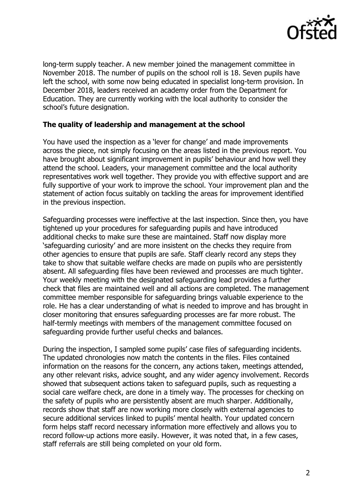

long-term supply teacher. A new member joined the management committee in November 2018. The number of pupils on the school roll is 18. Seven pupils have left the school, with some now being educated in specialist long-term provision. In December 2018, leaders received an academy order from the Department for Education. They are currently working with the local authority to consider the school's future designation.

## **The quality of leadership and management at the school**

You have used the inspection as a 'lever for change' and made improvements across the piece, not simply focusing on the areas listed in the previous report. You have brought about significant improvement in pupils' behaviour and how well they attend the school. Leaders, your management committee and the local authority representatives work well together. They provide you with effective support and are fully supportive of your work to improve the school. Your improvement plan and the statement of action focus suitably on tackling the areas for improvement identified in the previous inspection.

Safeguarding processes were ineffective at the last inspection. Since then, you have tightened up your procedures for safeguarding pupils and have introduced additional checks to make sure these are maintained. Staff now display more 'safeguarding curiosity' and are more insistent on the checks they require from other agencies to ensure that pupils are safe. Staff clearly record any steps they take to show that suitable welfare checks are made on pupils who are persistently absent. All safeguarding files have been reviewed and processes are much tighter. Your weekly meeting with the designated safeguarding lead provides a further check that files are maintained well and all actions are completed. The management committee member responsible for safeguarding brings valuable experience to the role. He has a clear understanding of what is needed to improve and has brought in closer monitoring that ensures safeguarding processes are far more robust. The half-termly meetings with members of the management committee focused on safeguarding provide further useful checks and balances.

During the inspection, I sampled some pupils' case files of safeguarding incidents. The updated chronologies now match the contents in the files. Files contained information on the reasons for the concern, any actions taken, meetings attended, any other relevant risks, advice sought, and any wider agency involvement. Records showed that subsequent actions taken to safeguard pupils, such as requesting a social care welfare check, are done in a timely way. The processes for checking on the safety of pupils who are persistently absent are much sharper. Additionally, records show that staff are now working more closely with external agencies to secure additional services linked to pupils' mental health. Your updated concern form helps staff record necessary information more effectively and allows you to record follow-up actions more easily. However, it was noted that, in a few cases, staff referrals are still being completed on your old form.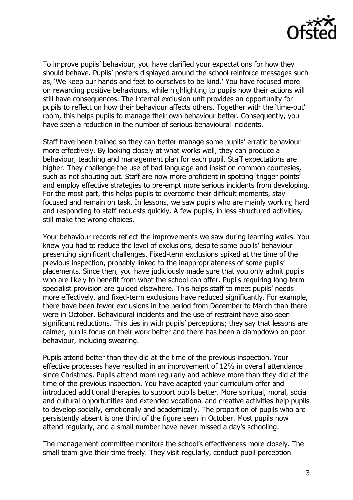

To improve pupils' behaviour, you have clarified your expectations for how they should behave. Pupils' posters displayed around the school reinforce messages such as, 'We keep our hands and feet to ourselves to be kind.' You have focused more on rewarding positive behaviours, while highlighting to pupils how their actions will still have consequences. The internal exclusion unit provides an opportunity for pupils to reflect on how their behaviour affects others. Together with the 'time-out' room, this helps pupils to manage their own behaviour better. Consequently, you have seen a reduction in the number of serious behavioural incidents.

Staff have been trained so they can better manage some pupils' erratic behaviour more effectively. By looking closely at what works well, they can produce a behaviour, teaching and management plan for each pupil. Staff expectations are higher. They challenge the use of bad language and insist on common courtesies, such as not shouting out. Staff are now more proficient in spotting 'trigger points' and employ effective strategies to pre-empt more serious incidents from developing. For the most part, this helps pupils to overcome their difficult moments, stay focused and remain on task. In lessons, we saw pupils who are mainly working hard and responding to staff requests quickly. A few pupils, in less structured activities, still make the wrong choices.

Your behaviour records reflect the improvements we saw during learning walks. You knew you had to reduce the level of exclusions, despite some pupils' behaviour presenting significant challenges. Fixed-term exclusions spiked at the time of the previous inspection, probably linked to the inappropriateness of some pupils' placements. Since then, you have judiciously made sure that you only admit pupils who are likely to benefit from what the school can offer. Pupils requiring long-term specialist provision are guided elsewhere. This helps staff to meet pupils' needs more effectively, and fixed-term exclusions have reduced significantly. For example, there have been fewer exclusions in the period from December to March than there were in October. Behavioural incidents and the use of restraint have also seen significant reductions. This ties in with pupils' perceptions; they say that lessons are calmer, pupils focus on their work better and there has been a clampdown on poor behaviour, including swearing.

Pupils attend better than they did at the time of the previous inspection. Your effective processes have resulted in an improvement of 12% in overall attendance since Christmas. Pupils attend more regularly and achieve more than they did at the time of the previous inspection. You have adapted your curriculum offer and introduced additional therapies to support pupils better. More spiritual, moral, social and cultural opportunities and extended vocational and creative activities help pupils to develop socially, emotionally and academically. The proportion of pupils who are persistently absent is one third of the figure seen in October. Most pupils now attend regularly, and a small number have never missed a day's schooling.

The management committee monitors the school's effectiveness more closely. The small team give their time freely. They visit regularly, conduct pupil perception